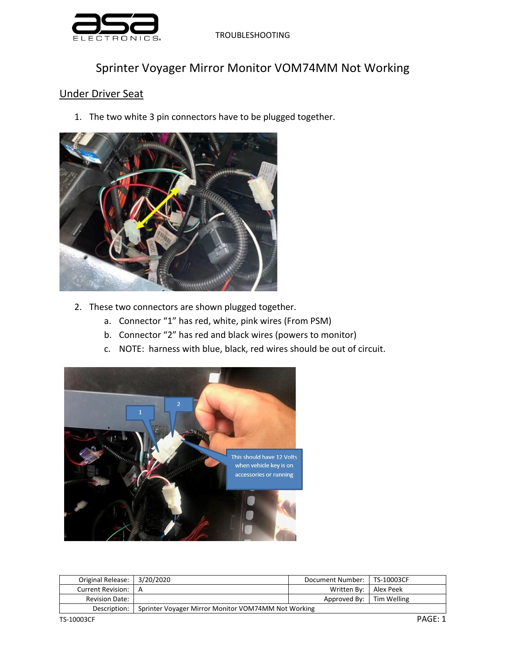

TROUBLESHOOTING

## Sprinter Voyager Mirror Monitor VOM74MM Not Working

## Under Driver Seat

1. The two white 3 pin connectors have to be plugged together.



- 2. These two connectors are shown plugged together.
	- a. Connector "1" has red, white, pink wires (From PSM)
	- b. Connector "2" has red and black wires (powers to monitor)
	- c. NOTE: harness with blue, black, red wires should be out of circuit.



| Original Release:   3/20/2020                                       |  | Document Number:   TS-10003CF |  |
|---------------------------------------------------------------------|--|-------------------------------|--|
| Current Revision:   A                                               |  | Written By:   Alex Peek       |  |
| <b>Revision Date:</b>                                               |  | Approved By: Tim Welling      |  |
| Sprinter Voyager Mirror Monitor VOM74MM Not Working<br>Description: |  |                               |  |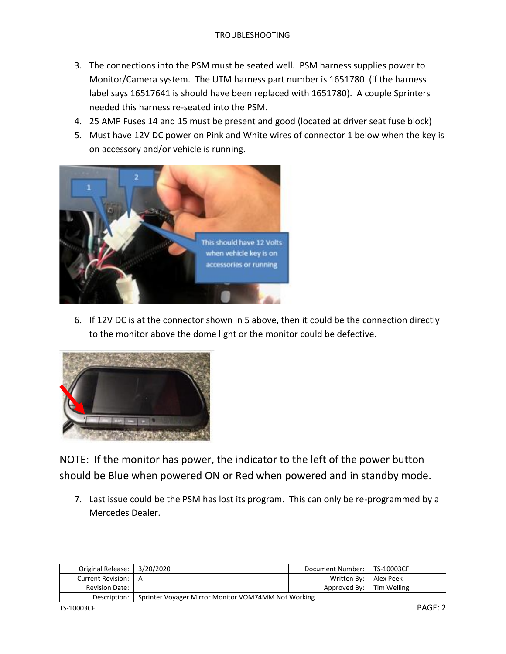- 3. The connections into the PSM must be seated well. PSM harness supplies power to Monitor/Camera system. The UTM harness part number is 1651780 (if the harness label says 16517641 is should have been replaced with 1651780). A couple Sprinters needed this harness re-seated into the PSM.
- 4. 25 AMP Fuses 14 and 15 must be present and good (located at driver seat fuse block)
- 5. Must have 12V DC power on Pink and White wires of connector 1 below when the key is on accessory and/or vehicle is running.



6. If 12V DC is at the connector shown in 5 above, then it could be the connection directly to the monitor above the dome light or the monitor could be defective.



NOTE: If the monitor has power, the indicator to the left of the power button should be Blue when powered ON or Red when powered and in standby mode.

7. Last issue could be the PSM has lost its program. This can only be re-programmed by a Mercedes Dealer.

| Original Release:   3/20/2020 |                                                     | Document Number:   TS-10003CF |  |
|-------------------------------|-----------------------------------------------------|-------------------------------|--|
| Current Revision:   A         |                                                     | Written By:   Alex Peek       |  |
| <b>Revision Date:</b>         |                                                     | Approved By: Tim Welling      |  |
| Description:                  | Sprinter Voyager Mirror Monitor VOM74MM Not Working |                               |  |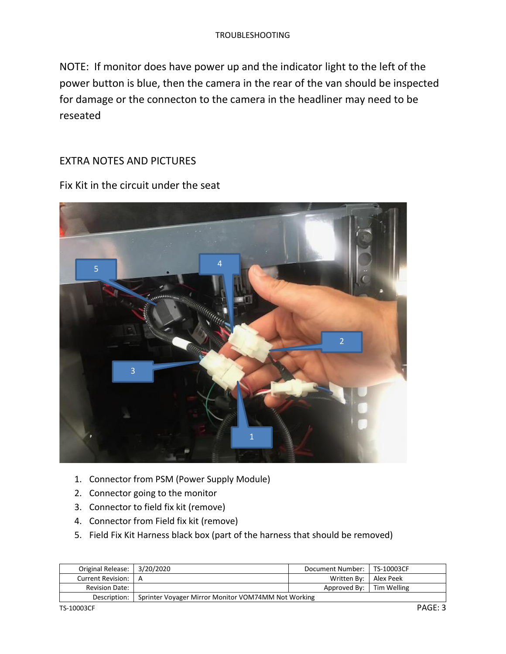NOTE: If monitor does have power up and the indicator light to the left of the power button is blue, then the camera in the rear of the van should be inspected for damage or the connecton to the camera in the headliner may need to be reseated

## EXTRA NOTES AND PICTURES

Fix Kit in the circuit under the seat



- 1. Connector from PSM (Power Supply Module)
- 2. Connector going to the monitor
- 3. Connector to field fix kit (remove)
- 4. Connector from Field fix kit (remove)
- 5. Field Fix Kit Harness black box (part of the harness that should be removed)

| Original Release:   3/20/2020 |                                                                     | Document Number:   TS-10003CF |  |
|-------------------------------|---------------------------------------------------------------------|-------------------------------|--|
| Current Revision:   A         |                                                                     | Written By:   Alex Peek       |  |
| <b>Revision Date:</b>         |                                                                     | Approved By:   Tim Welling    |  |
|                               | Sprinter Voyager Mirror Monitor VOM74MM Not Working<br>Description: |                               |  |